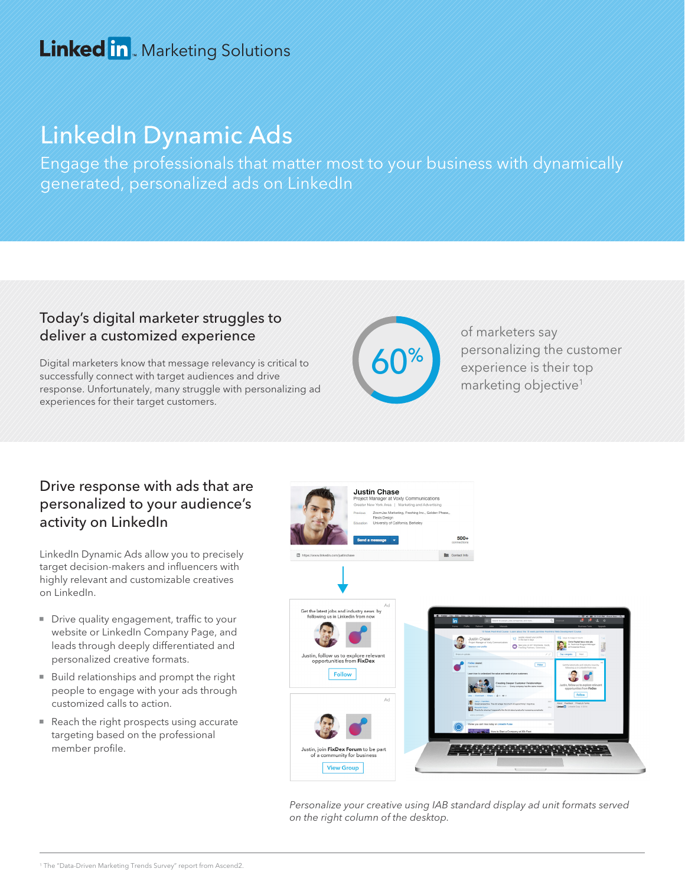## Linked in Marketing Solutions

# LinkedIn Dynamic Ads

Engage the professionals that matter most to your business with dynamically generated, personalized ads on LinkedIn

#### Today's digital marketer struggles to deliver a customized experience

Digital marketers know that message relevancy is critical to successfully connect with target audiences and drive response. Unfortunately, many struggle with personalizing ad experiences for their target customers.



of marketers say personalizing the customer experience is their top marketing objective<sup>1</sup>

#### Drive response with ads that are personalized to your audience's activity on LinkedIn

LinkedIn Dynamic Ads allow you to precisely target decision-makers and influencers with highly relevant and customizable creatives on LinkedIn.

- Drive quality engagement, traffic to your website or LinkedIn Company Page, and leads through deeply differentiated and personalized creative formats.
- **Build relationships and prompt the right** people to engage with your ads through customized calls to action.
- Reach the right prospects using accurate targeting based on the professional member profile.



Personalize your creative using IAB standard display ad unit formats served on the right column of the desktop.